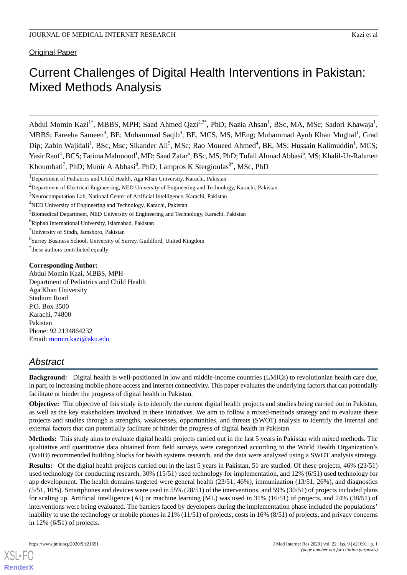Original Paper

# Current Challenges of Digital Health Interventions in Pakistan: Mixed Methods Analysis

Abdul Momin Kazi<sup>1\*</sup>, MBBS, MPH; Saad Ahmed Qazi<sup>2,3\*</sup>, PhD; Nazia Ahsan<sup>1</sup>, BSc, MA, MSc; Sadori Khawaja<sup>1</sup>, MBBS; Fareeha Sameen<sup>4</sup>, BE; Muhammad Saqib<sup>4</sup>, BE, MCS, MS, MEng; Muhammad Ayub Khan Mughal<sup>1</sup>, Grad Dip; Zabin Wajidali<sup>1</sup>, BSc, Msc; Sikander Ali<sup>5</sup>, MSc; Rao Moueed Ahmed<sup>4</sup>, BE, MS; Hussain Kalimuddin<sup>1</sup>, MCS; Yasir Rauf<sup>1</sup>, BCS; Fatima Mahmood<sup>1</sup>, MD; Saad Zafar<sup>6</sup>, BSc, MS, PhD; Tufail Ahmad Abbasi<sup>6</sup>, MS; Khalil-Ur-Rahmen Khoumbati<sup>7</sup>, PhD; Munir A Abbasi<sup>8</sup>, PhD; Lampros K Stergioulas<sup>8\*</sup>, MSc, PhD

\* these authors contributed equally

#### **Corresponding Author:**

Abdul Momin Kazi, MBBS, MPH Department of Pediatrics and Child Health Aga Khan University Stadium Road P.O. Box 3500 Karachi, 74800 Pakistan Phone: 92 2134864232 Email: [momin.kazi@aku.edu](mailto:momin.kazi@aku.edu)

# *Abstract*

**Background:** Digital health is well-positioned in low and middle-income countries (LMICs) to revolutionize health care due, in part, to increasing mobile phone access and internet connectivity. This paper evaluates the underlying factors that can potentially facilitate or hinder the progress of digital health in Pakistan.

**Objective:** The objective of this study is to identify the current digital health projects and studies being carried out in Pakistan, as well as the key stakeholders involved in these initiatives. We aim to follow a mixed-methods strategy and to evaluate these projects and studies through a strengths, weaknesses, opportunities, and threats (SWOT) analysis to identify the internal and external factors that can potentially facilitate or hinder the progress of digital health in Pakistan.

**Methods:** This study aims to evaluate digital health projects carried out in the last 5 years in Pakistan with mixed methods. The qualitative and quantitative data obtained from field surveys were categorized according to the World Health Organization's (WHO) recommended building blocks for health systems research, and the data were analyzed using a SWOT analysis strategy.

**Results:** Of the digital health projects carried out in the last 5 years in Pakistan, 51 are studied. Of these projects, 46% (23/51) used technology for conducting research, 30% (15/51) used technology for implementation, and 12% (6/51) used technology for app development. The health domains targeted were general health (23/51, 46%), immunization (13/51, 26%), and diagnostics (5/51, 10%). Smartphones and devices were used in 55% (28/51) of the interventions, and 59% (30/51) of projects included plans for scaling up. Artificial intelligence (AI) or machine learning (ML) was used in 31% (16/51) of projects, and 74% (38/51) of interventions were being evaluated. The barriers faced by developers during the implementation phase included the populations' inability to use the technology or mobile phones in 21% (11/51) of projects, costs in 16% (8/51) of projects, and privacy concerns in 12% (6/51) of projects.

<sup>&</sup>lt;sup>1</sup>Department of Pediatrics and Child Health, Aga Khan University, Karachi, Pakistan

<sup>&</sup>lt;sup>2</sup>Department of Electrical Engineering, NED University of Engineering and Technology, Karachi, Pakistan

<sup>&</sup>lt;sup>3</sup>Neurocomputation Lab, National Center of Artificial Intelligence, Karachi, Pakistan

<sup>4</sup>NED University of Engineering and Technology, Karachi, Pakistan

<sup>&</sup>lt;sup>5</sup>Biomedical Department, NED University of Engineering and Technology, Karachi, Pakistan

<sup>6</sup>Riphah International University, Islamabad, Pakistan

 $7$ University of Sindh, Jamshoro, Pakistan

<sup>8</sup> Surrey Business School, University of Surrey, Guildford, United Kingdom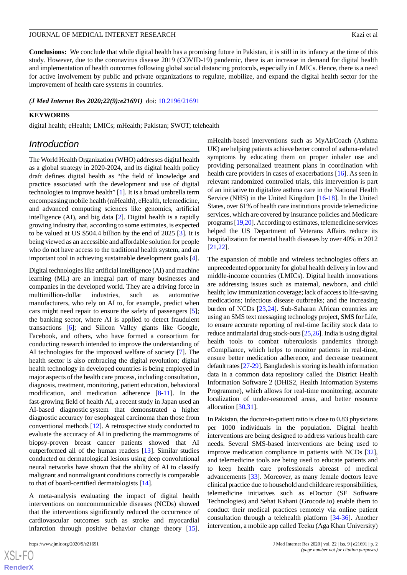**Conclusions:** We conclude that while digital health has a promising future in Pakistan, it is still in its infancy at the time of this study. However, due to the coronavirus disease 2019 (COVID-19) pandemic, there is an increase in demand for digital health and implementation of health outcomes following global social distancing protocols, especially in LMICs. Hence, there is a need for active involvement by public and private organizations to regulate, mobilize, and expand the digital health sector for the improvement of health care systems in countries.

*(J Med Internet Res 2020;22(9):e21691)* doi:  $10.2196/21691$ 

#### **KEYWORDS**

digital health; eHealth; LMICs; mHealth; Pakistan; SWOT; telehealth

## *Introduction*

The World Health Organization (WHO) addresses digital health as a global strategy in 2020-2024, and its digital health policy draft defines digital health as "the field of knowledge and practice associated with the development and use of digital technologies to improve health" [\[1](#page-10-0)]. It is a broad umbrella term encompassing mobile health (mHealth), eHealth, telemedicine, and advanced computing sciences like genomics, artificial intelligence (AI), and big data [[2\]](#page-10-1). Digital health is a rapidly growing industry that, according to some estimates, is expected to be valued at US \$504.4 billion by the end of 2025 [\[3](#page-10-2)]. It is being viewed as an accessible and affordable solution for people who do not have access to the traditional health system, and an important tool in achieving sustainable development goals [[4\]](#page-10-3).

Digital technologies like artificial intelligence (AI) and machine learning (ML) are an integral part of many businesses and companies in the developed world. They are a driving force in multimillion-dollar industries, such as automotive manufacturers, who rely on AI to, for example, predict when cars might need repair to ensure the safety of passengers [\[5\]](#page-10-4); the banking sector, where AI is applied to detect fraudulent transactions [\[6\]](#page-10-5); and Silicon Valley giants like Google, Facebook, and others, who have formed a consortium for conducting research intended to improve the understanding of AI technologies for the improved welfare of society [[7\]](#page-10-6). The health sector is also embracing the digital revolution; digital health technology in developed countries is being employed in major aspects of the health care process, including consultation, diagnosis, treatment, monitoring, patient education, behavioral modification, and medication adherence [[8](#page-10-7)[-11](#page-10-8)]. In the fast-growing field of health AI, a recent study in Japan used an AI-based diagnostic system that demonstrated a higher diagnostic accuracy for esophageal carcinoma than those from conventional methods [\[12](#page-10-9)]. A retrospective study conducted to evaluate the accuracy of AI in predicting the mammograms of biopsy-proven breast cancer patients showed that AI outperformed all of the human readers [[13\]](#page-11-0). Similar studies conducted on dermatological lesions using deep convolutional neural networks have shown that the ability of AI to classify malignant and nonmalignant conditions correctly is comparable to that of board-certified dermatologists [[14\]](#page-11-1).

A meta-analysis evaluating the impact of digital health interventions on noncommunicable diseases (NCDs) showed that the interventions significantly reduced the occurrence of cardiovascular outcomes such as stroke and myocardial infarction through positive behavior change theory [[15\]](#page-11-2).

mHealth-based interventions such as MyAirCoach (Asthma UK) are helping patients achieve better control of asthma-related symptoms by educating them on proper inhaler use and providing personalized treatment plans in coordination with health care providers in cases of exacerbations [[16\]](#page-11-3). As seen in relevant randomized controlled trials, this intervention is part of an initiative to digitalize asthma care in the National Health Service (NHS) in the United Kingdom [[16-](#page-11-3)[18](#page-11-4)]. In the United States, over 61% of health care institutions provide telemedicine services, which are covered by insurance policies and Medicare programs [[19,](#page-11-5)[20\]](#page-11-6). According to estimates, telemedicine services helped the US Department of Veterans Affairs reduce its hospitalization for mental health diseases by over 40% in 2012 [[21,](#page-11-7)[22\]](#page-11-8).

The expansion of mobile and wireless technologies offers an unprecedented opportunity for global health delivery in low and middle-income countries (LMICs). Digital health innovations are addressing issues such as maternal, newborn, and child health; low immunization coverage; lack of access to life-saving medications; infectious disease outbreaks; and the increasing burden of NCDs [\[23](#page-11-9),[24\]](#page-11-10). Sub-Saharan African countries are using an SMS text messaging technology project, SMS for Life, to ensure accurate reporting of real-time facility stock data to reduce antimalarial drug stock-outs [\[25](#page-11-11)[,26\]](#page-11-12). India is using digital health tools to combat tuberculosis pandemics through eCompliance, which helps to monitor patients in real-time, ensure better medication adherence, and decrease treatment default rates [[27](#page-11-13)-[29](#page-11-14)]. Bangladesh is storing its health information data in a common data repository called the District Health Information Software 2 (DHIS2, Health Information Systems Programme), which allows for real-time monitoring, accurate localization of under-resourced areas, and better resource allocation [[30](#page-11-15)[,31](#page-11-16)].

In Pakistan, the doctor-to-patient ratio is close to 0.83 physicians per 1000 individuals in the population. Digital health interventions are being designed to address various health care needs. Several SMS-based interventions are being used to improve medication compliance in patients with NCDs [[32\]](#page-11-17), and telemedicine tools are being used to educate patients and to keep health care professionals abreast of medical advancements [[33\]](#page-11-18). Moreover, as many female doctors leave clinical practice due to household and childcare responsibilities, telemedicine initiatives such as eDoctor (SE Software Technologies) and Sehat Kahani (Grocode.io) enable them to conduct their medical practices remotely via online patient consultation through a telehealth platform [\[34](#page-11-19)-[36\]](#page-11-20). Another intervention, a mobile app called Teeku (Aga Khan University)

 $XS$  • FC **[RenderX](http://www.renderx.com/)**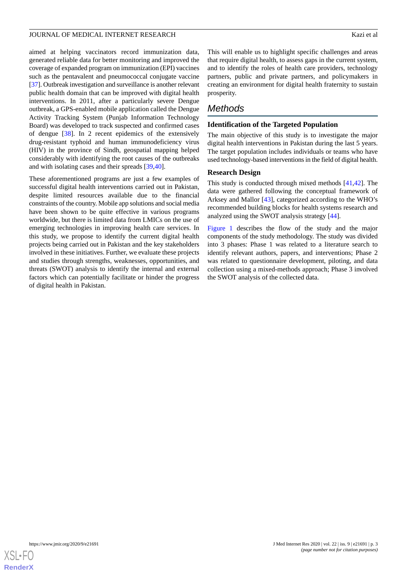aimed at helping vaccinators record immunization data, generated reliable data for better monitoring and improved the coverage of expanded program on immunization (EPI) vaccines such as the pentavalent and pneumococcal conjugate vaccine [[37\]](#page-11-21). Outbreak investigation and surveillance is another relevant public health domain that can be improved with digital health interventions. In 2011, after a particularly severe Dengue outbreak, a GPS-enabled mobile application called the Dengue Activity Tracking System (Punjab Information Technology Board) was developed to track suspected and confirmed cases of dengue [[38\]](#page-11-22). In 2 recent epidemics of the extensively drug-resistant typhoid and human immunodeficiency virus (HIV) in the province of Sindh, geospatial mapping helped considerably with identifying the root causes of the outbreaks and with isolating cases and their spreads [[39](#page-12-0)[,40](#page-12-1)].

These aforementioned programs are just a few examples of successful digital health interventions carried out in Pakistan, despite limited resources available due to the financial constraints of the country. Mobile app solutions and social media have been shown to be quite effective in various programs worldwide, but there is limited data from LMICs on the use of emerging technologies in improving health care services. In this study, we propose to identify the current digital health projects being carried out in Pakistan and the key stakeholders involved in these initiatives. Further, we evaluate these projects and studies through strengths, weaknesses, opportunities, and threats (SWOT) analysis to identify the internal and external factors which can potentially facilitate or hinder the progress of digital health in Pakistan.

This will enable us to highlight specific challenges and areas that require digital health, to assess gaps in the current system, and to identify the roles of health care providers, technology partners, public and private partners, and policymakers in creating an environment for digital health fraternity to sustain prosperity.

# *Methods*

## **Identification of the Targeted Population**

The main objective of this study is to investigate the major digital health interventions in Pakistan during the last 5 years. The target population includes individuals or teams who have used technology-based interventions in the field of digital health.

## **Research Design**

This study is conducted through mixed methods [[41](#page-12-2)[,42](#page-12-3)]. The data were gathered following the conceptual framework of Arksey and Mallor [\[43](#page-12-4)], categorized according to the WHO's recommended building blocks for health systems research and analyzed using the SWOT analysis strategy [[44\]](#page-12-5).

[Figure 1](#page-3-0) describes the flow of the study and the major components of the study methodology. The study was divided into 3 phases: Phase 1 was related to a literature search to identify relevant authors, papers, and interventions; Phase 2 was related to questionnaire development, piloting, and data collection using a mixed-methods approach; Phase 3 involved the SWOT analysis of the collected data.

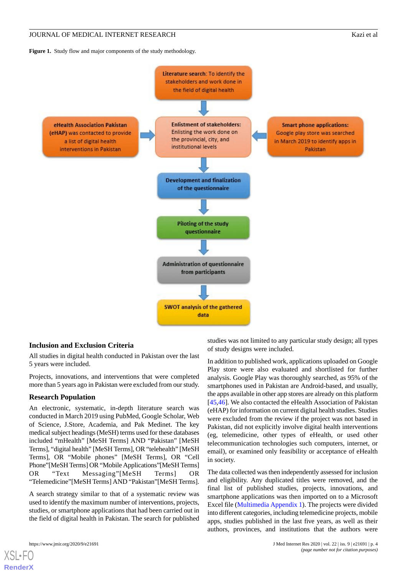<span id="page-3-0"></span>Figure 1. Study flow and major components of the study methodology.



#### **Inclusion and Exclusion Criteria**

All studies in digital health conducted in Pakistan over the last 5 years were included.

Projects, innovations, and interventions that were completed more than 5 years ago in Pakistan were excluded from our study.

#### **Research Population**

An electronic, systematic, in-depth literature search was conducted in March 2019 using PubMed, Google Scholar, Web of Science, J.Store, Academia, and Pak Medinet. The key medical subject headings (MeSH) terms used for these databases included "mHealth" [MeSH Terms] AND "Pakistan" [MeSH Terms], "digital health" [MeSH Terms], OR "telehealth" [MeSH Terms], OR "Mobile phones" [MeSH Terms], OR "Cell Phone"[MeSH Terms] OR "Mobile Applications"[MeSH Terms] OR "Text Messaging"[MeSH Terms] OR "Telemedicine"[MeSH Terms] AND "Pakistan"[MeSH Terms].

A search strategy similar to that of a systematic review was used to identify the maximum number of interventions, projects, studies, or smartphone applications that had been carried out in the field of digital health in Pakistan. The search for published

[XSL](http://www.w3.org/Style/XSL)•FO **[RenderX](http://www.renderx.com/)**

studies was not limited to any particular study design; all types of study designs were included.

In addition to published work, applications uploaded on Google Play store were also evaluated and shortlisted for further analysis. Google Play was thoroughly searched, as 95% of the smartphones used in Pakistan are Android-based, and usually, the apps available in other app stores are already on this platform [[45,](#page-12-6)[46\]](#page-12-7). We also contacted the eHealth Association of Pakistan (eHAP) for information on current digital health studies. Studies were excluded from the review if the project was not based in Pakistan, did not explicitly involve digital health interventions (eg, telemedicine, other types of eHealth, or used other telecommunication technologies such computers, internet, or email), or examined only feasibility or acceptance of eHealth in society.

The data collected was then independently assessed for inclusion and eligibility. Any duplicated titles were removed, and the final list of published studies, projects, innovations, and smartphone applications was then imported on to a Microsoft Excel file [\(Multimedia Appendix 1](#page-10-10)). The projects were divided into different categories, including telemedicine projects, mobile apps, studies published in the last five years, as well as their authors, provinces, and institutions that the authors were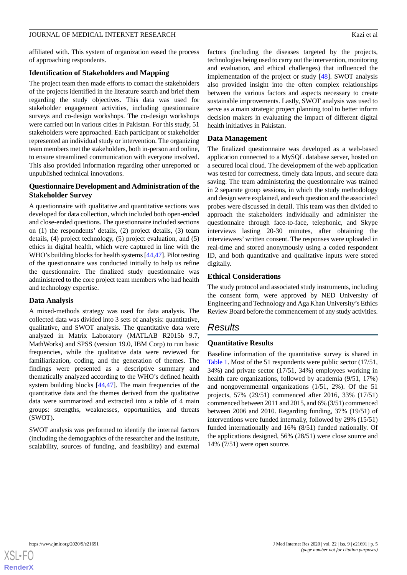## affiliated with. This system of organization eased the process of approaching respondents.

## **Identification of Stakeholders and Mapping**

The project team then made efforts to contact the stakeholders of the projects identified in the literature search and brief them regarding the study objectives. This data was used for stakeholder engagement activities, including questionnaire surveys and co-design workshops. The co-design workshops were carried out in various cities in Pakistan. For this study, 51 stakeholders were approached. Each participant or stakeholder represented an individual study or intervention. The organizing team members met the stakeholders, both in-person and online, to ensure streamlined communication with everyone involved. This also provided information regarding other unreported or unpublished technical innovations.

## **Questionnaire Development and Administration of the Stakeholder Survey**

A questionnaire with qualitative and quantitative sections was developed for data collection, which included both open-ended and close-ended questions. The questionnaire included sections on (1) the respondents' details, (2) project details, (3) team details, (4) project technology, (5) project evaluation, and (5) ethics in digital health, which were captured in line with the WHO's building blocks for health systems [\[44](#page-12-5),[47\]](#page-12-8). Pilot testing of the questionnaire was conducted initially to help us refine the questionnaire. The finalized study questionnaire was administered to the core project team members who had health and technology expertise.

## **Data Analysis**

A mixed-methods strategy was used for data analysis. The collected data was divided into 3 sets of analysis: quantitative, qualitative, and SWOT analysis. The quantitative data were analyzed in Matrix Laboratory (MATLAB R2015b 9.7, MathWorks) and SPSS (version 19.0, IBM Corp) to run basic frequencies, while the qualitative data were reviewed for familiarization, coding, and the generation of themes. The findings were presented as a descriptive summary and thematically analyzed according to the WHO's defined health system building blocks [[44,](#page-12-5)[47\]](#page-12-8). The main frequencies of the quantitative data and the themes derived from the qualitative data were summarized and extracted into a table of 4 main groups: strengths, weaknesses, opportunities, and threats (SWOT).

SWOT analysis was performed to identify the internal factors (including the demographics of the researcher and the institute, scalability, sources of funding, and feasibility) and external

factors (including the diseases targeted by the projects, technologies being used to carry out the intervention, monitoring and evaluation, and ethical challenges) that influenced the implementation of the project or study [[48\]](#page-12-9). SWOT analysis also provided insight into the often complex relationships between the various factors and aspects necessary to create sustainable improvements. Lastly, SWOT analysis was used to serve as a main strategic project planning tool to better inform decision makers in evaluating the impact of different digital health initiatives in Pakistan.

## **Data Management**

The finalized questionnaire was developed as a web-based application connected to a MySQL database server, hosted on a secured local cloud. The development of the web application was tested for correctness, timely data inputs, and secure data saving. The team administering the questionnaire was trained in 2 separate group sessions, in which the study methodology and design were explained, and each question and the associated probes were discussed in detail. This team was then divided to approach the stakeholders individually and administer the questionnaire through face-to-face, telephonic, and Skype interviews lasting 20-30 minutes, after obtaining the interviewees' written consent. The responses were uploaded in real-time and stored anonymously using a coded respondent ID, and both quantitative and qualitative inputs were stored digitally.

## **Ethical Considerations**

The study protocol and associated study instruments, including the consent form, were approved by NED University of Engineering and Technology and Aga Khan University's Ethics Review Board before the commencement of any study activities.

# *Results*

## **Quantitative Results**

Baseline information of the quantitative survey is shared in [Table 1.](#page-5-0) Most of the 51 respondents were public sector (17/51, 34%) and private sector (17/51, 34%) employees working in health care organizations, followed by academia (9/51, 17%) and nongovernmental organizations (1/51, 2%). Of the 51 projects, 57% (29/51) commenced after 2016, 33% (17/51) commenced between 2011 and 2015, and 6% (3/51) commenced between 2006 and 2010. Regarding funding, 37% (19/51) of interventions were funded internally, followed by 29% (15/51) funded internationally and 16% (8/51) funded nationally. Of the applications designed, 56% (28/51) were close source and 14% (7/51) were open source.

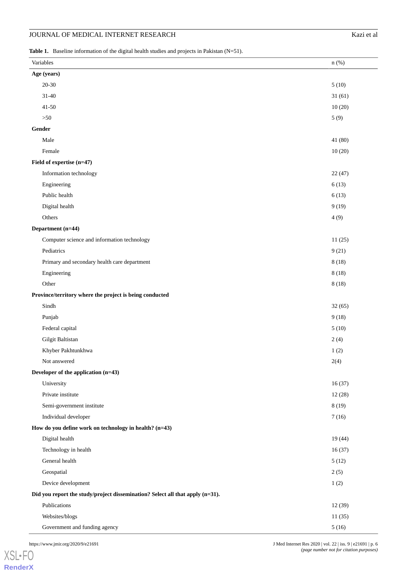## JOURNAL OF MEDICAL INTERNET RESEARCH

| Kazi et al |  |
|------------|--|
|------------|--|

<span id="page-5-0"></span>Table 1. Baseline information of the digital health studies and projects in Pakistan (N=51).

| Variables                                                                     | $n$ (%) |
|-------------------------------------------------------------------------------|---------|
| Age (years)                                                                   |         |
| $20 - 30$                                                                     | 5(10)   |
| $31 - 40$                                                                     | 31(61)  |
| $41 - 50$                                                                     | 10(20)  |
| $>50$                                                                         | 5(9)    |
| Gender                                                                        |         |
| Male                                                                          | 41 (80) |
| Female                                                                        | 10(20)  |
| Field of expertise (n=47)                                                     |         |
| Information technology                                                        | 22(47)  |
| Engineering                                                                   | 6(13)   |
| Public health                                                                 | 6(13)   |
| Digital health                                                                | 9(19)   |
| Others                                                                        | 4(9)    |
| Department (n=44)                                                             |         |
| Computer science and information technology                                   | 11(25)  |
| Pediatrics                                                                    | 9(21)   |
| Primary and secondary health care department                                  | 8(18)   |
| Engineering                                                                   | 8(18)   |
| Other                                                                         | 8(18)   |
| Province/territory where the project is being conducted                       |         |
| Sindh                                                                         | 32(65)  |
| Punjab                                                                        | 9(18)   |
| Federal capital                                                               | 5(10)   |
| Gilgit Baltistan                                                              | 2(4)    |
| Khyber Pakhtunkhwa                                                            | 1(2)    |
| Not answered                                                                  | 2(4)    |
| Developer of the application (n=43)                                           |         |
| University                                                                    | 16(37)  |
| Private institute                                                             | 12(28)  |
| Semi-government institute                                                     | 8(19)   |
| Individual developer                                                          | 7(16)   |
| How do you define work on technology in health? (n=43)                        |         |
| Digital health                                                                | 19(44)  |
| Technology in health                                                          | 16(37)  |
| General health                                                                | 5(12)   |
| Geospatial                                                                    | 2(5)    |
| Device development                                                            | 1(2)    |
| Did you report the study/project dissemination? Select all that apply (n=31). |         |
| Publications                                                                  | 12(39)  |
| Websites/blogs                                                                | 11(35)  |
| Government and funding agency                                                 | 5(16)   |

[XSL](http://www.w3.org/Style/XSL)•FO **[RenderX](http://www.renderx.com/)**

https://www.jmir.org/2020/9/e21691 J Med Internet Res 2020 | vol. 22 | iss. 9 | e21691 | p. 6 *(page number not for citation purposes)*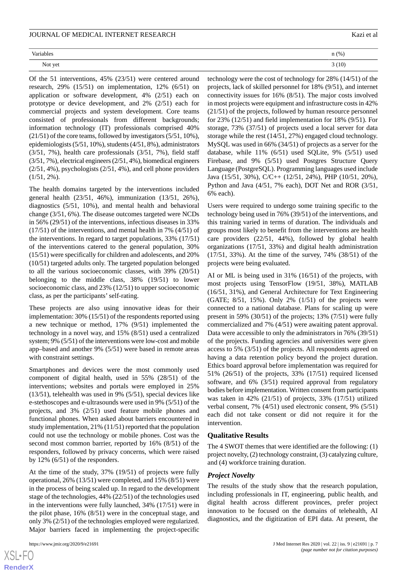| Variables                | $n$ (%) |
|--------------------------|---------|
| $\sim$ $\sim$<br>Not yet | 3(10)   |

Of the 51 interventions, 45% (23/51) were centered around research, 29% (15/51) on implementation, 12% (6/51) on application or software development, 4% (2/51) each on prototype or device development, and 2% (2/51) each for commercial projects and system development. Core teams consisted of professionals from different backgrounds; information technology (IT) professionals comprised 40% (21/51) of the core teams, followed by investigators (5/51, 10%), epidemiologists (5/51, 10%), students (4/51, 8%), administrators (3/51, 7%), health care professionals (3/51, 7%), field staff (3/51, 7%), electrical engineers (2/51, 4%), biomedical engineers (2/51, 4%), psychologists (2/51, 4%), and cell phone providers  $(1/51, 2\%)$ .

The health domains targeted by the interventions included general health (23/51, 46%), immunization (13/51, 26%), diagnostics (5/51, 10%), and mental health and behavioral change (3/51, 6%). The disease outcomes targeted were NCDs in 56% (29/51) of the interventions, infectious diseases in 33% (17/51) of the interventions, and mental health in 7% (4/51) of the interventions. In regard to target populations, 33% (17/51) of the interventions catered to the general population, 30% (15/51) were specifically for children and adolescents, and 20% (10/51) targeted adults only. The targeted population belonged to all the various socioeconomic classes, with 39% (20/51) belonging to the middle class, 38% (19/51) to lower socioeconomic class, and 23% (12/51) to upper socioeconomic class, as per the participants' self-rating.

These projects are also using innovative ideas for their implementation: 30% (15/51) of the respondents reported using a new technique or method, 17% (9/51) implemented the technology in a novel way, and 15% (8/51) used a centralized system; 9% (5/51) of the interventions were low-cost and mobile app–based and another 9% (5/51) were based in remote areas with constraint settings.

Smartphones and devices were the most commonly used component of digital health, used in 55% (28/51) of the interventions; websites and portals were employed in 25% (13/51), telehealth was used in 9% (5/51), special devices like e-stethoscopes and e-ultrasounds were used in 9% (5/51) of the projects, and 3% (2/51) used feature mobile phones and functional phones. When asked about barriers encountered in study implementation, 21% (11/51) reported that the population could not use the technology or mobile phones. Cost was the second most common barrier, reported by 16% (8/51) of the responders, followed by privacy concerns, which were raised by 12% (6/51) of the responders.

At the time of the study, 37% (19/51) of projects were fully operational, 26% (13/51) were completed, and 15% (8/51) were in the process of being scaled up. In regard to the development stage of the technologies, 44% (22/51) of the technologies used in the interventions were fully launched, 34% (17/51) were in the pilot phase, 16% (8/51) were in the conceptual stage, and only 3% (2/51) of the technologies employed were regularized. Major barriers faced in implementing the project-specific

| $n$ (%) |
|---------|
|         |

technology were the cost of technology for 28% (14/51) of the projects, lack of skilled personnel for 18% (9/51), and internet connectivity issues for 16% (8/51). The major costs involved in most projects were equipment and infrastructure costs in 42% (21/51) of the projects, followed by human resource personnel for 23% (12/51) and field implementation for 18% (9/51). For storage, 73% (37/51) of projects used a local server for data storage while the rest (14/51, 27%) engaged cloud technology. MySQL was used in 66% (34/51) of projects as a server for the database, while 11% (6/51) used SQLite, 9% (5/51) used Firebase, and 9% (5/51) used Postgres Structure Query Language (PostgreSQL). Programming languages used include Java (15/51, 30%), C/C++ (12/51, 24%), PHP (10/51, 20%), Python and Java (4/51, 7% each), DOT Net and ROR (3/51, 6% each).

Users were required to undergo some training specific to the technology being used in 76% (39/51) of the interventions, and this training varied in terms of duration. The individuals and groups most likely to benefit from the interventions are health care providers (22/51, 44%), followed by global health organizations (17/51, 33%) and digital health administration (17/51, 33%). At the time of the survey, 74% (38/51) of the projects were being evaluated.

AI or ML is being used in 31% (16/51) of the projects, with most projects using TensorFlow (19/51, 38%), MATLAB (16/51, 31%), and General Architecture for Text Engineering (GATE; 8/51, 15%). Only 2% (1/51) of the projects were connected to a national database. Plans for scaling up were present in 59% (30/51) of the projects; 13% (7/51) were fully commercialized and 7% (4/51) were awaiting patent approval. Data were accessible to only the administrators in 76% (39/51) of the projects. Funding agencies and universities were given access to 5% (3/51) of the projects. All respondents agreed on having a data retention policy beyond the project duration. Ethics board approval before implementation was required for 51% (26/51) of the projects, 33% (17/51) required licensed software, and 6% (3/51) required approval from regulatory bodies before implementation. Written consent from participants was taken in 42% (21/51) of projects, 33% (17/51) utilized verbal consent, 7% (4/51) used electronic consent, 9% (5/51) each did not take consent or did not require it for the intervention.

#### **Qualitative Results**

The 4 SWOT themes that were identified are the following: (1) project novelty, (2) technology constraint, (3) catalyzing culture, and (4) workforce training duration.

#### *Project Novelty*

The results of the study show that the research population, including professionals in IT, engineering, public health, and digital health across different provinces, prefer project innovation to be focused on the domains of telehealth, AI diagnostics, and the digitization of EPI data. At present, the

 $XS$ -FO **[RenderX](http://www.renderx.com/)**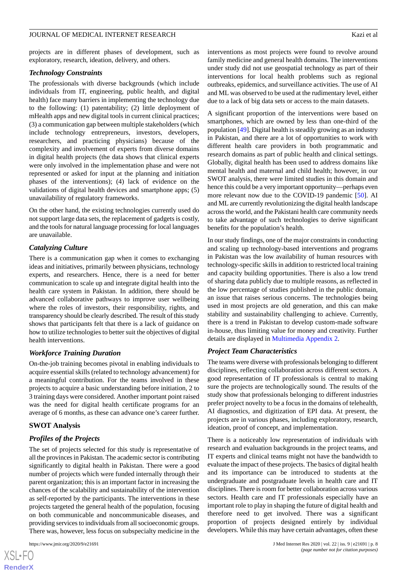projects are in different phases of development, such as exploratory, research, ideation, delivery, and others.

#### *Technology Constraints*

The professionals with diverse backgrounds (which include individuals from IT, engineering, public health, and digital health) face many barriers in implementing the technology due to the following: (1) patentability; (2) little deployment of mHealth apps and new digital tools in current clinical practices; (3) a communication gap between multiple stakeholders (which include technology entrepreneurs, investors, developers, researchers, and practicing physicians) because of the complexity and involvement of experts from diverse domains in digital health projects (the data shows that clinical experts were only involved in the implementation phase and were not represented or asked for input at the planning and initiation phases of the interventions); (4) lack of evidence on the validations of digital health devices and smartphone apps; (5) unavailability of regulatory frameworks.

On the other hand, the existing technologies currently used do not support large data sets, the replacement of gadgets is costly, and the tools for natural language processing for local languages are unavailable.

#### *Catalyzing Culture*

There is a communication gap when it comes to exchanging ideas and initiatives, primarily between physicians, technology experts, and researchers. Hence, there is a need for better communication to scale up and integrate digital health into the health care system in Pakistan. In addition, there should be advanced collaborative pathways to improve user wellbeing where the roles of investors, their responsibility, rights, and transparency should be clearly described. The result of this study shows that participants felt that there is a lack of guidance on how to utilize technologies to better suit the objectives of digital health interventions.

#### *Workforce Training Duration*

On-the-job training becomes pivotal in enabling individuals to acquire essential skills (related to technology advancement) for a meaningful contribution. For the teams involved in these projects to acquire a basic understanding before initiation, 2 to 3 training days were considered. Another important point raised was the need for digital health certificate programs for an average of 6 months, as these can advance one's career further.

#### **SWOT Analysis**

#### *Profiles of the Projects*

The set of projects selected for this study is representative of all the provinces in Pakistan. The academic sector is contributing significantly to digital health in Pakistan. There were a good number of projects which were funded internally through their parent organization; this is an important factor in increasing the chances of the scalability and sustainability of the intervention as self-reported by the participants. The interventions in these projects targeted the general health of the population, focusing on both communicable and noncommunicable diseases, and providing services to individuals from all socioeconomic groups. There was, however, less focus on subspecialty medicine in the

interventions as most projects were found to revolve around family medicine and general health domains. The interventions under study did not use geospatial technology as part of their interventions for local health problems such as regional outbreaks, epidemics, and surveillance activities. The use of AI and ML was observed to be used at the rudimentary level, either due to a lack of big data sets or access to the main datasets.

A significant proportion of the interventions were based on smartphones, which are owned by less than one-third of the population [[49\]](#page-12-10). Digital health is steadily growing as an industry in Pakistan, and there are a lot of opportunities to work with different health care providers in both programmatic and research domains as part of public health and clinical settings. Globally, digital health has been used to address domains like mental health and maternal and child health; however, in our SWOT analysis, there were limited studies in this domain and hence this could be a very important opportunity—perhaps even more relevant now due to the COVID-19 pandemic [[50\]](#page-12-11). AI and ML are currently revolutionizing the digital health landscape across the world, and the Pakistani health care community needs to take advantage of such technologies to derive significant benefits for the population's health.

In our study findings, one of the major constraints in conducting and scaling up technology-based interventions and programs in Pakistan was the low availability of human resources with technology-specific skills in addition to restricted local training and capacity building opportunities. There is also a low trend of sharing data publicly due to multiple reasons, as reflected in the low percentage of studies published in the public domain, an issue that raises serious concerns. The technologies being used in most projects are old generation, and this can make stability and sustainability challenging to achieve. Currently, there is a trend in Pakistan to develop custom-made software in-house, thus limiting value for money and creativity. Further details are displayed in [Multimedia Appendix 2](#page-10-11).

#### *Project Team Characteristics*

The teams were diverse with professionals belonging to different disciplines, reflecting collaboration across different sectors. A good representation of IT professionals is central to making sure the projects are technologically sound. The results of the study show that professionals belonging to different industries prefer project novelty to be a focus in the domains of telehealth, AI diagnostics, and digitization of EPI data. At present, the projects are in various phases, including exploratory, research, ideation, proof of concept, and implementation.

There is a noticeably low representation of individuals with research and evaluation backgrounds in the project teams, and IT experts and clinical teams might not have the bandwidth to evaluate the impact of these projects. The basics of digital health and its importance can be introduced to students at the undergraduate and postgraduate levels in health care and IT disciplines. There is room for better collaboration across various sectors. Health care and IT professionals especially have an important role to play in shaping the future of digital health and therefore need to get involved. There was a significant proportion of projects designed entirely by individual developers. While this may have certain advantages, often these

```
XSL•FO
RenderX
```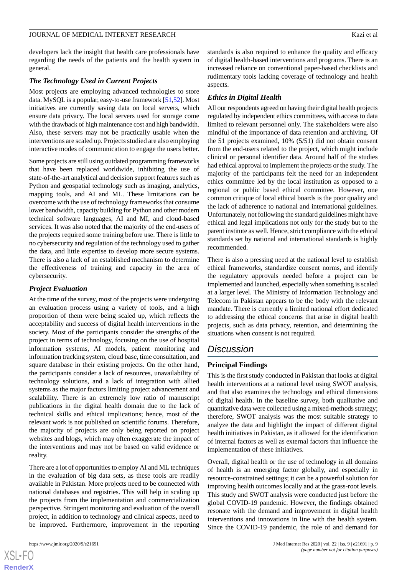developers lack the insight that health care professionals have regarding the needs of the patients and the health system in general.

#### *The Technology Used in Current Projects*

Most projects are employing advanced technologies to store data. MySQL is a popular, easy-to-use framework [[51](#page-12-12),[52\]](#page-12-13). Most initiatives are currently saving data on local servers, which ensure data privacy. The local servers used for storage come with the drawback of high maintenance cost and high bandwidth. Also, these servers may not be practically usable when the interventions are scaled up. Projects studied are also employing interactive modes of communication to engage the users better.

Some projects are still using outdated programming frameworks that have been replaced worldwide, inhibiting the use of state-of-the-art analytical and decision support features such as Python and geospatial technology such as imaging, analytics, mapping tools, and AI and ML. These limitations can be overcome with the use of technology frameworks that consume lower bandwidth, capacity building for Python and other modern technical software languages, AI and MI, and cloud-based services. It was also noted that the majority of the end-users of the projects required some training before use. There is little to no cybersecurity and regulation of the technology used to gather the data, and little expertise to develop more secure systems. There is also a lack of an established mechanism to determine the effectiveness of training and capacity in the area of cybersecurity.

#### *Project Evaluation*

At the time of the survey, most of the projects were undergoing an evaluation process using a variety of tools, and a high proportion of them were being scaled up, which reflects the acceptability and success of digital health interventions in the society. Most of the participants consider the strengths of the project in terms of technology, focusing on the use of hospital information systems, AI models, patient monitoring and information tracking system, cloud base, time consultation, and square database in their existing projects. On the other hand, the participants consider a lack of resources, unavailability of technology solutions, and a lack of integration with allied systems as the major factors limiting project advancement and scalability. There is an extremely low ratio of manuscript publications in the digital health domain due to the lack of technical skills and ethical implications; hence, most of the relevant work is not published on scientific forums. Therefore, the majority of projects are only being reported on project websites and blogs, which may often exaggerate the impact of the interventions and may not be based on valid evidence or reality.

There are a lot of opportunities to employ AI and ML techniques in the evaluation of big data sets, as these tools are readily available in Pakistan. More projects need to be connected with national databases and registries. This will help in scaling up the projects from the implementation and commercialization perspective. Stringent monitoring and evaluation of the overall project, in addition to technology and clinical aspects, need to be improved. Furthermore, improvement in the reporting

 $XS$  $\cdot$ FC **[RenderX](http://www.renderx.com/)** standards is also required to enhance the quality and efficacy of digital health-based interventions and programs. There is an increased reliance on conventional paper-based checklists and rudimentary tools lacking coverage of technology and health aspects.

#### *Ethics in Digital Health*

All our respondents agreed on having their digital health projects regulated by independent ethics committees, with access to data limited to relevant personnel only. The stakeholders were also mindful of the importance of data retention and archiving. Of the 51 projects examined, 10% (5/51) did not obtain consent from the end-users related to the project, which might include clinical or personal identifier data. Around half of the studies had ethical approval to implement the projects or the study. The majority of the participants felt the need for an independent ethics committee led by the local institution as opposed to a regional or public based ethical committee. However, one common critique of local ethical boards is the poor quality and the lack of adherence to national and international guidelines. Unfortunately, not following the standard guidelines might have ethical and legal implications not only for the study but to the parent institute as well. Hence, strict compliance with the ethical standards set by national and international standards is highly recommended.

There is also a pressing need at the national level to establish ethical frameworks, standardize consent norms, and identify the regulatory approvals needed before a project can be implemented and launched, especially when something is scaled at a larger level. The Ministry of Information Technology and Telecom in Pakistan appears to be the body with the relevant mandate. There is currently a limited national effort dedicated to addressing the ethical concerns that arise in digital health projects, such as data privacy, retention, and determining the situations when consent is not required.

## *Discussion*

## **Principal Findings**

This is the first study conducted in Pakistan that looks at digital health interventions at a national level using SWOT analysis, and that also examines the technology and ethical dimensions of digital health. In the baseline survey, both qualitative and quantitative data were collected using a mixed-methods strategy; therefore, SWOT analysis was the most suitable strategy to analyze the data and highlight the impact of different digital health initiatives in Pakistan, as it allowed for the identification of internal factors as well as external factors that influence the implementation of these initiatives.

Overall, digital health or the use of technology in all domains of health is an emerging factor globally, and especially in resource-constrained settings; it can be a powerful solution for improving health outcomes locally and at the grass-root levels. This study and SWOT analysis were conducted just before the global COVID-19 pandemic. However, the findings obtained resonate with the demand and improvement in digital health interventions and innovations in line with the health system. Since the COVID-19 pandemic, the role of and demand for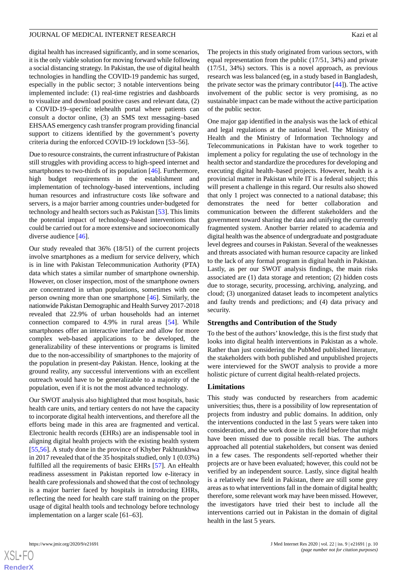digital health has increased significantly, and in some scenarios, it is the only viable solution for moving forward while following a social distancing strategy. In Pakistan, the use of digital health technologies in handling the COVID-19 pandemic has surged, especially in the public sector; 3 notable interventions being implemented include: (1) real-time registries and dashboards to visualize and download positive cases and relevant data, (2) a COVID-19–specific telehealth portal where patients can consult a doctor online, (3) an SMS text messaging–based EHSAAS emergency cash transfer program providing financial support to citizens identified by the government's poverty criteria during the enforced COVID-19 lockdown [53–56].

Due to resource constraints, the current infrastructure of Pakistan still struggles with providing access to high-speed internet and smartphones to two-thirds of its population [[46\]](#page-12-7). Furthermore, high budget requirements in the establishment and implementation of technology-based interventions, including human resources and infrastructure costs like software and servers, is a major barrier among countries under-budgeted for technology and health sectors such as Pakistan [\[53](#page-12-14)]. This limits the potential impact of technology-based interventions that could be carried out for a more extensive and socioeconomically diverse audience [[46\]](#page-12-7).

Our study revealed that 36% (18/51) of the current projects involve smartphones as a medium for service delivery, which is in line with Pakistan Telecommunication Authority (PTA) data which states a similar number of smartphone ownership. However, on closer inspection, most of the smartphone owners are concentrated in urban populations, sometimes with one person owning more than one smartphone [[46\]](#page-12-7). Similarly, the nationwide Pakistan Demographic and Health Survey 2017-2018 revealed that 22.9% of urban households had an internet connection compared to 4.9% in rural areas [[54\]](#page-12-15). While smartphones offer an interactive interface and allow for more complex web-based applications to be developed, the generalizability of these interventions or programs is limited due to the non-accessibility of smartphones to the majority of the population in present-day Pakistan. Hence, looking at the ground reality, any successful interventions with an excellent outreach would have to be generalizable to a majority of the population, even if it is not the most advanced technology.

Our SWOT analysis also highlighted that most hospitals, basic health care units, and tertiary centers do not have the capacity to incorporate digital health interventions, and therefore all the efforts being made in this area are fragmented and vertical. Electronic health records (EHRs) are an indispensable tool in aligning digital health projects with the existing health system [[55](#page-12-16)[,56](#page-12-17)]. A study done in the province of Khyber Pakhtunkhwa in 2017 revealed that of the 35 hospitals studied, only 1 (0.03%) fulfilled all the requirements of basic EHRs [\[57](#page-12-18)]. An eHealth readiness assessment in Pakistan reported low e-literacy in health care professionals and showed that the cost of technology is a major barrier faced by hospitals in introducing EHRs, reflecting the need for health care staff training on the proper usage of digital health tools and technology before technology implementation on a larger scale [61–63].

The projects in this study originated from various sectors, with equal representation from the public (17/51, 34%) and private (17/51, 34%) sectors. This is a novel approach, as previous research was less balanced (eg, in a study based in Bangladesh, the private sector was the primary contributor [[44\]](#page-12-5)). The active involvement of the public sector is very promising, as no sustainable impact can be made without the active participation of the public sector.

One major gap identified in the analysis was the lack of ethical and legal regulations at the national level. The Ministry of Health and the Ministry of Information Technology and Telecommunications in Pakistan have to work together to implement a policy for regulating the use of technology in the health sector and standardize the procedures for developing and executing digital health–based projects. However, health is a provincial matter in Pakistan while IT is a federal subject; this will present a challenge in this regard. Our results also showed that only 1 project was connected to a national database; this demonstrates the need for better collaboration and communication between the different stakeholders and the government toward sharing the data and unifying the currently fragmented system. Another barrier related to academia and digital health was the absence of undergraduate and postgraduate level degrees and courses in Pakistan. Several of the weaknesses and threats associated with human resource capacity are linked to the lack of any formal program in digital health in Pakistan. Lastly, as per our SWOT analysis findings, the main risks associated are (1) data storage and retention; (2) hidden costs due to storage, security, processing, archiving, analyzing, and cloud; (3) unorganized dataset leads to incompetent analytics and faulty trends and predictions; and (4) data privacy and security.

#### **Strengths and Contribution of the Study**

To the best of the authors' knowledge, this is the first study that looks into digital health interventions in Pakistan as a whole. Rather than just considering the PubMed published literature, the stakeholders with both published and unpublished projects were interviewed for the SWOT analysis to provide a more holistic picture of current digital health-related projects.

#### **Limitations**

This study was conducted by researchers from academic universities; thus, there is a possibility of low representation of projects from industry and public domains. In addition, only the interventions conducted in the last 5 years were taken into consideration, and the work done in this field before that might have been missed due to possible recall bias. The authors approached all potential stakeholders, but consent was denied in a few cases. The respondents self-reported whether their projects are or have been evaluated; however, this could not be verified by an independent source. Lastly, since digital health is a relatively new field in Pakistan, there are still some grey areas as to what interventions fall in the domain of digital health; therefore, some relevant work may have been missed. However, the investigators have tried their best to include all the interventions carried out in Pakistan in the domain of digital health in the last 5 years.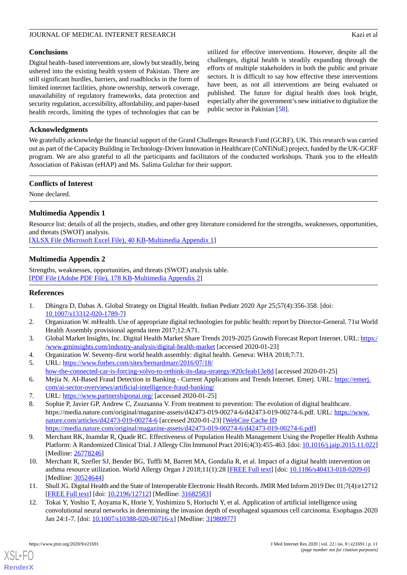#### JOURNAL OF MEDICAL INTERNET RESEARCH Kazi et al. Kazi et al.

#### **Conclusions**

Digital health–based interventions are, slowly but steadily, being ushered into the existing health system of Pakistan. There are still significant hurdles, barriers, and roadblocks in the form of limited internet facilities, phone ownership, network coverage, unavailability of regulatory frameworks, data protection and security regulation, accessibility, affordability, and paper-based health records, limiting the types of technologies that can be

utilized for effective interventions. However, despite all the challenges, digital health is steadily expanding through the efforts of multiple stakeholders in both the public and private sectors. It is difficult to say how effective these interventions have been, as not all interventions are being evaluated or published. The future for digital health does look bright, especially after the government's new initiative to digitalize the public sector in Pakistan [\[58](#page-12-19)].

## **Acknowledgments**

We gratefully acknowledge the financial support of the Grand Challenges Research Fund (GCRF), UK. This research was carried out as part of the Capacity Building in Technology-Driven Innovation in Healthcare (CoNTiNuE) project, funded by the UK-GCRF program. We are also grateful to all the participants and facilitators of the conducted workshops. Thank you to the eHealth Association of Pakistan (eHAP) and Ms. Salima Gulzhar for their support.

#### **Conflicts of Interest**

<span id="page-10-10"></span>None declared.

## **Multimedia Appendix 1**

Resource list: details of all the projects, studies, and other grey literature considered for the strengths, weaknesses, opportunities, and threats (SWOT) analysis.

<span id="page-10-11"></span>[[XLSX File \(Microsoft Excel File\), 40 KB](https://jmir.org/api/download?alt_name=jmir_v22i9e21691_app1.xlsx&filename=9819fdcd806e182a27f5b0ce27c66aeb.xlsx)-[Multimedia Appendix 1\]](https://jmir.org/api/download?alt_name=jmir_v22i9e21691_app1.xlsx&filename=9819fdcd806e182a27f5b0ce27c66aeb.xlsx)

## **Multimedia Appendix 2**

<span id="page-10-0"></span>Strengths, weaknesses, opportunities, and threats (SWOT) analysis table. [[PDF File \(Adobe PDF File\), 178 KB](https://jmir.org/api/download?alt_name=jmir_v22i9e21691_app2.pdf&filename=ca8766d3fa047f6b1c2e5669ac43f82b.pdf)-[Multimedia Appendix 2\]](https://jmir.org/api/download?alt_name=jmir_v22i9e21691_app2.pdf&filename=ca8766d3fa047f6b1c2e5669ac43f82b.pdf)

#### <span id="page-10-1"></span>**References**

- <span id="page-10-2"></span>1. Dhingra D, Dabas A. Global Strategy on Digital Health. Indian Pediatr 2020 Apr 25;57(4):356-358. [doi: [10.1007/s13312-020-1789-7\]](http://dx.doi.org/10.1007/s13312-020-1789-7)
- <span id="page-10-4"></span><span id="page-10-3"></span>2. Organization W. mHealth. Use of appropriate digital technologies for public health: report by Director-General. 71st World Health Assembly provisional agenda item 2017;12:A71.
- <span id="page-10-5"></span>3. Global Market Insights, Inc. Digital Health Market Share Trends 2019-2025 Growth Forecast Report Internet. URL: [https:/](https://www.gminsights.com/industry-analysis/digital-health-market) [/www.gminsights.com/industry-analysis/digital-health-market](https://www.gminsights.com/industry-analysis/digital-health-market) [accessed 2020-01-23]
- <span id="page-10-6"></span>4. Organization W. Seventy-first world health assembly: digital health. Geneva: WHA 2018;7:71.
- <span id="page-10-7"></span>5. URL: [https://www.forbes.com/sites/bernardmarr/2016/07/18/](https://www.forbes.com/sites/bernardmarr/2016/07/18/how-the-connected-car-is-forcing-volvo-to-rethink-its-data-strategy/#20cfeab13e8d) [how-the-connected-car-is-forcing-volvo-to-rethink-its-data-strategy/#20cfeab13e8d](https://www.forbes.com/sites/bernardmarr/2016/07/18/how-the-connected-car-is-forcing-volvo-to-rethink-its-data-strategy/#20cfeab13e8d) [accessed 2020-01-25]
- 6. Mejia N. AI-Based Fraud Detection in Banking Current Applications and Trends Internet. Emerj. URL: [https://emerj.](https://emerj.com/ai-sector-overviews/artificial-intelligence-fraud-banking/) [com/ai-sector-overviews/artificial-intelligence-fraud-banking/](https://emerj.com/ai-sector-overviews/artificial-intelligence-fraud-banking/)
- 7. URL: <https://www.partnershiponai.org/> [accessed 2020-01-25]
- 8. Sophie P, Javier GP, Andrew C, Zsuzsanna V. From treatment to prevention: The evolution of digital healthcare. https://media.nature.com/original/magazine-assets/d42473-019-00274-6/d42473-019-00274-6.pdf. URL: [https://www.](https://www.nature.com/articles/d42473-019-00274-6) [nature.com/articles/d42473-019-00274-6](https://www.nature.com/articles/d42473-019-00274-6) [accessed 2020-01-23] [[WebCite Cache ID](http://www.webcitation.org/

                                            https://media.nature.com/original/magazine-assets/d42473-019-00274-6/d42473-019-00274-6.pdf) [https://media.nature.com/original/magazine-assets/d42473-019-00274-6/d42473-019-00274-6.pdf\]](http://www.webcitation.org/

                                            https://media.nature.com/original/magazine-assets/d42473-019-00274-6/d42473-019-00274-6.pdf)
- <span id="page-10-8"></span>9. Merchant RK, Inamdar R, Quade RC. Effectiveness of Population Health Management Using the Propeller Health Asthma Platform: A Randomized Clinical Trial. J Allergy Clin Immunol Pract 2016;4(3):455-463. [doi: [10.1016/j.jaip.2015.11.022\]](http://dx.doi.org/10.1016/j.jaip.2015.11.022) [Medline: [26778246](http://www.ncbi.nlm.nih.gov/entrez/query.fcgi?cmd=Retrieve&db=PubMed&list_uids=26778246&dopt=Abstract)]
- <span id="page-10-9"></span>10. Merchant R, Szefler SJ, Bender BG, Tuffli M, Barrett MA, Gondalia R, et al. Impact of a digital health intervention on asthma resource utilization. World Allergy Organ J 2018;11(1):28 [\[FREE Full text](https://waojournal.biomedcentral.com/articles/10.1186/s40413-018-0209-0)] [doi: [10.1186/s40413-018-0209-0\]](http://dx.doi.org/10.1186/s40413-018-0209-0) [Medline: [30524644](http://www.ncbi.nlm.nih.gov/entrez/query.fcgi?cmd=Retrieve&db=PubMed&list_uids=30524644&dopt=Abstract)]
- 11. Shull JG. Digital Health and the State of Interoperable Electronic Health Records. JMIR Med Inform 2019 Dec 01;7(4):e12712 [[FREE Full text](https://medinform.jmir.org/2019/4/e12712/)] [doi: [10.2196/12712\]](http://dx.doi.org/10.2196/12712) [Medline: [31682583\]](http://www.ncbi.nlm.nih.gov/entrez/query.fcgi?cmd=Retrieve&db=PubMed&list_uids=31682583&dopt=Abstract)
- 12. Tokai Y, Yoshio T, Aoyama K, Horie Y, Yoshimizu S, Horiuchi Y, et al. Application of artificial intelligence using convolutional neural networks in determining the invasion depth of esophageal squamous cell carcinoma. Esophagus 2020 Jan 24:1-7. [doi: [10.1007/s10388-020-00716-x](http://dx.doi.org/10.1007/s10388-020-00716-x)] [Medline: [31980977\]](http://www.ncbi.nlm.nih.gov/entrez/query.fcgi?cmd=Retrieve&db=PubMed&list_uids=31980977&dopt=Abstract)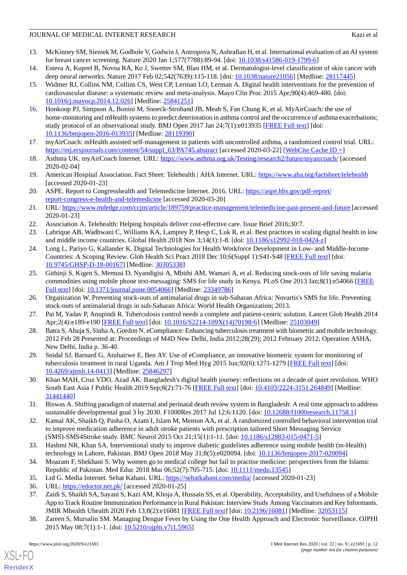#### JOURNAL OF MEDICAL INTERNET RESEARCH Kazi et al. Kazi et al.

- <span id="page-11-0"></span>13. McKinney SM, Sieniek M, Godbole V, Godwin J, Antropova N, Ashrafian H, et al. International evaluation of an AI system for breast cancer screening. Nature 2020 Jan 1;577(7788):89-94. [doi: [10.1038/s41586-019-1799-6](http://dx.doi.org/10.1038/s41586-019-1799-6)]
- <span id="page-11-2"></span><span id="page-11-1"></span>14. Esteva A, Kuprel B, Novoa RA, Ko J, Swetter SM, Blau HM, et al. Dermatologist-level classification of skin cancer with deep neural networks. Nature 2017 Feb 02;542(7639):115-118. [doi: [10.1038/nature21056\]](http://dx.doi.org/10.1038/nature21056) [Medline: [28117445\]](http://www.ncbi.nlm.nih.gov/entrez/query.fcgi?cmd=Retrieve&db=PubMed&list_uids=28117445&dopt=Abstract)
- 15. Widmer RJ, Collins NM, Collins CS, West CP, Lerman LO, Lerman A. Digital health interventions for the prevention of cardiovascular disease: a systematic review and meta-analysis. Mayo Clin Proc 2015 Apr;90(4):469-480. [doi: [10.1016/j.mayocp.2014.12.026](http://dx.doi.org/10.1016/j.mayocp.2014.12.026)] [Medline: [25841251](http://www.ncbi.nlm.nih.gov/entrez/query.fcgi?cmd=Retrieve&db=PubMed&list_uids=25841251&dopt=Abstract)]
- <span id="page-11-3"></span>16. Honkoop PJ, Simpson A, Bonini M, Snoeck-Stroband JB, Meah S, Fan Chung K, et al. MyAirCoach: the use of home-monitoring and mHealth systems to predict deterioration in asthma control and the occurrence of asthma exacerbations; study protocol of an observational study. BMJ Open 2017 Jan 24;7(1):e013935 [\[FREE Full text\]](http://bmjopen.bmj.com/cgi/pmidlookup?view=long&pmid=28119390) [doi: [10.1136/bmjopen-2016-013935\]](http://dx.doi.org/10.1136/bmjopen-2016-013935) [Medline: [28119390](http://www.ncbi.nlm.nih.gov/entrez/query.fcgi?cmd=Retrieve&db=PubMed&list_uids=28119390&dopt=Abstract)]
- <span id="page-11-4"></span>17. myAirCoach: mHealth assisted self-management in patients with uncontrolled asthma, a randomized control trial. URL: [https://erj.ersjournals.com/content/54/suppl\\_63/PA745.abstract](https://erj.ersjournals.com/content/54/suppl_63/PA745.abstract) [accessed 2020-03-22] [[WebCite Cache ID =](http://www.webcitation.org/

                                            =)]
- <span id="page-11-5"></span>18. Asthma UK. myAirCoach Internet. URL:<https://www.asthma.org.uk/Testing/research2/future/myaircoach/> [accessed 2020-02-04]
- <span id="page-11-6"></span>19. American Hospital Association. Fact Sheet: Telehealth | AHA Internet. URL:<https://www.aha.org/factsheet/telehealth> [accessed 2020-01-23]
- <span id="page-11-7"></span>20. ASPE. Report to Congresshealth and Telemedicine Internet. 2016. URL: [https://aspe.hhs.gov/pdf-report/](https://aspe.hhs.gov/pdf-report/report-congress-e-health-and-telemedicine) [report-congress-e-health-and-telemedicine](https://aspe.hhs.gov/pdf-report/report-congress-e-health-and-telemedicine) [accessed 2020-03-20]
- <span id="page-11-9"></span><span id="page-11-8"></span>21. URL:<https://www.mdedge.com/ccjm/article/189759/practice-management/telemedicine-past-present-and-future> [accessed 2020-01-23]
- <span id="page-11-10"></span>22. Association A. Telehealth: Helping hospitals deliver cost-effective care. Issue Brief 2016;30:7.
- 23. Labrique AB, Wadhwani C, Williams KA, Lamptey P, Hesp C, Luk R, et al. Best practices in scaling digital health in low and middle income countries. Global Health 2018 Nov 3;14(1):1-8. [doi: [10.1186/s12992-018-0424-z\]](http://dx.doi.org/10.1186/s12992-018-0424-z)
- <span id="page-11-11"></span>24. Long L, Pariyo G, Kallander K. Digital Technologies for Health Workforce Development in Low- and Middle-Income Countries: A Scoping Review. Glob Health Sci Pract 2018 Dec 10;6(Suppl 1):S41-S48 [[FREE Full text\]](http://www.ghspjournal.org/cgi/pmidlookup?view=long&pmid=30305338) [doi: [10.9745/GHSP-D-18-00167\]](http://dx.doi.org/10.9745/GHSP-D-18-00167) [Medline: [30305338](http://www.ncbi.nlm.nih.gov/entrez/query.fcgi?cmd=Retrieve&db=PubMed&list_uids=30305338&dopt=Abstract)]
- <span id="page-11-13"></span><span id="page-11-12"></span>25. Githinji S, Kigen S, Memusi D, Nyandigisi A, Mbithi AM, Wamari A, et al. Reducing stock-outs of life saving malaria commodities using mobile phone text-messaging: SMS for life study in Kenya. PLoS One 2013 Jan;8(1):e54066 [[FREE](http://dx.plos.org/10.1371/journal.pone.0054066) [Full text\]](http://dx.plos.org/10.1371/journal.pone.0054066) [doi: [10.1371/journal.pone.0054066](http://dx.doi.org/10.1371/journal.pone.0054066)] [Medline: [23349786](http://www.ncbi.nlm.nih.gov/entrez/query.fcgi?cmd=Retrieve&db=PubMed&list_uids=23349786&dopt=Abstract)]
- 26. Organization W. Preventing stock-outs of antimalarial drugs in sub-Saharan Africa: Novartis's SMS for life. Preventing stock-outs of antimalarial drugs in sub-Saharan Africa: World Health Organization; 2013.
- <span id="page-11-14"></span>27. Pai M, Yadav P, Anupindi R. Tuberculosis control needs a complete and patient-centric solution. Lancet Glob Health 2014 Apr;2(4):e189-e190 [\[FREE Full text\]](https://linkinghub.elsevier.com/retrieve/pii/S2214-109X(14)70198-6) [doi: [10.1016/S2214-109X\(14\)70198-6](http://dx.doi.org/10.1016/S2214-109X(14)70198-6)] [Medline: [25103049](http://www.ncbi.nlm.nih.gov/entrez/query.fcgi?cmd=Retrieve&db=PubMed&list_uids=25103049&dopt=Abstract)]
- <span id="page-11-15"></span>28. Batra S, Ahuja S, Sinha A, Gordon N. eCompliance: Enhancing tuberculosis treatment with biometric and mobile technology. 2012 Feb 28 Presented at: Proceedings of M4D New Delhi, India 2012;28(29); 2012 February 2012; Operation ASHA, New Delhi, India p. 36-40.
- <span id="page-11-16"></span>29. Snidal SJ, Barnard G, Atuhairwe E, Ben AY. Use of eCompliance, an innovative biometric system for monitoring of tuberculosis treatment in rural Uganda. Am J Trop Med Hyg 2015 Jun;92(6):1271-1279 [\[FREE Full text](http://europepmc.org/abstract/MED/25846297)] [doi: [10.4269/ajtmh.14-0413](http://dx.doi.org/10.4269/ajtmh.14-0413)] [Medline: [25846297](http://www.ncbi.nlm.nih.gov/entrez/query.fcgi?cmd=Retrieve&db=PubMed&list_uids=25846297&dopt=Abstract)]
- <span id="page-11-17"></span>30. Khan MAH, Cruz VDO, Azad AK. Bangladesh's digital health journey: reflections on a decade of quiet revolution. WHO South East Asia J Public Health 2019 Sep;8(2):71-76 [\[FREE Full text\]](http://www.who-seajph.org/article.asp?issn=2224-3151;year=2019;volume=8;issue=2;spage=71;epage=76;aulast=Khan) [doi: [10.4103/2224-3151.264849](http://dx.doi.org/10.4103/2224-3151.264849)] [Medline: [31441440](http://www.ncbi.nlm.nih.gov/entrez/query.fcgi?cmd=Retrieve&db=PubMed&list_uids=31441440&dopt=Abstract)]
- <span id="page-11-18"></span>31. Biswas A. Shifting paradigm of maternal and perinatal death review system in Bangladesh: A real time approach to address sustainable developmental goal 3 by 2030. F1000Res 2017 Jul 12;6:1120. [doi: [10.12688/f1000research.11758.1\]](http://dx.doi.org/10.12688/f1000research.11758.1)
- <span id="page-11-19"></span>32. Kamal AK, Shaikh Q, Pasha O, Azam I, Islam M, Memon AA, et al. A randomized controlled behavioral intervention trial to improve medication adherence in adult stroke patients with prescription tailored Short Messaging Service (SMS)-SMS4Stroke study. BMC Neurol 2015 Oct 21;15(1):1-11. [doi: [10.1186/s12883-015-0471-5\]](http://dx.doi.org/10.1186/s12883-015-0471-5)
- <span id="page-11-21"></span><span id="page-11-20"></span>33. Hashmi NR, Khan SA. Interventional study to improve diabetic guidelines adherence using mobile health (m-Health) technology in Lahore, Pakistan. BMJ Open 2018 May 31;8(5):e020094. [doi: [10.1136/bmjopen-2017-020094](http://dx.doi.org/10.1136/bmjopen-2017-020094)]
- <span id="page-11-22"></span>34. Moazam F, Shekhani S. Why women go to medical college but fail to practise medicine: perspectives from the Islamic Republic of Pakistan. Med Educ 2018 Mar 06;52(7):705-715. [doi: [10.1111/medu.13545](http://dx.doi.org/10.1111/medu.13545)]
- 35. Ltd G. Media Internet. Sehat Kahani. URL:<https://sehatkahani.com/media/> [accessed 2020-01-23]
- 36. URL: <https://edoctor.net.pk/> [accessed 2020-01-25]
- 37. Zaidi S, Shaikh SA, Sayani S, Kazi AM, Khoja A, Hussain SS, et al. Operability, Acceptability, and Usefulness of a Mobile App to Track Routine Immunization Performance in Rural Pakistan: Interview Study Among Vaccinators and Key Informants. JMIR Mhealth Uhealth 2020 Feb 13;8(2):e16081 [\[FREE Full text\]](https://mhealth.jmir.org/2020/2/e16081/) [doi: [10.2196/16081](http://dx.doi.org/10.2196/16081)] [Medline: [32053115\]](http://www.ncbi.nlm.nih.gov/entrez/query.fcgi?cmd=Retrieve&db=PubMed&list_uids=32053115&dopt=Abstract)
- 38. Zareen S, Mursalin SM. Managing Dengue Fever by Using the One Health Approach and Electronic Surveillance. OJPHI 2015 May 08;7(1):1-1. [doi: [10.5210/ojphi.v7i1.5965](http://dx.doi.org/10.5210/ojphi.v7i1.5965)]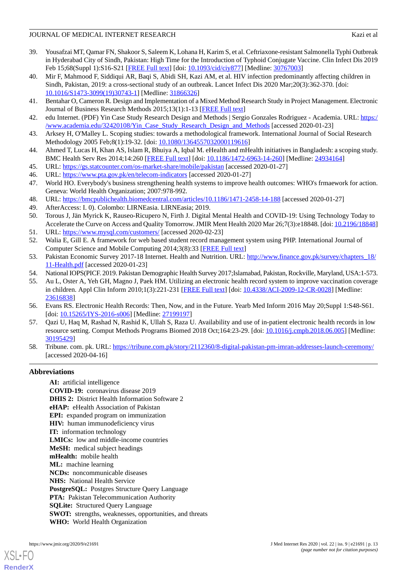#### JOURNAL OF MEDICAL INTERNET RESEARCH Kazi et al. Kazi et al.

- <span id="page-12-0"></span>39. Yousafzai MT, Qamar FN, Shakoor S, Saleem K, Lohana H, Karim S, et al. Ceftriaxone-resistant Salmonella Typhi Outbreak in Hyderabad City of Sindh, Pakistan: High Time for the Introduction of Typhoid Conjugate Vaccine. Clin Infect Dis 2019 Feb 15;68(Suppl 1):S16-S21 [\[FREE Full text\]](http://europepmc.org/abstract/MED/30767003) [doi: [10.1093/cid/ciy877](http://dx.doi.org/10.1093/cid/ciy877)] [Medline: [30767003](http://www.ncbi.nlm.nih.gov/entrez/query.fcgi?cmd=Retrieve&db=PubMed&list_uids=30767003&dopt=Abstract)]
- <span id="page-12-1"></span>40. Mir F, Mahmood F, Siddiqui AR, Baqi S, Abidi SH, Kazi AM, et al. HIV infection predominantly affecting children in Sindh, Pakistan, 2019: a cross-sectional study of an outbreak. Lancet Infect Dis 2020 Mar;20(3):362-370. [doi: [10.1016/S1473-3099\(19\)30743-1\]](http://dx.doi.org/10.1016/S1473-3099(19)30743-1) [Medline: [31866326](http://www.ncbi.nlm.nih.gov/entrez/query.fcgi?cmd=Retrieve&db=PubMed&list_uids=31866326&dopt=Abstract)]
- <span id="page-12-3"></span><span id="page-12-2"></span>41. Bentahar O, Cameron R. Design and Implementation of a Mixed Method Research Study in Project Management. Electronic Journal of Business Research Methods 2015;13(1):1-13 [\[FREE Full text\]](https://tinyurl.com/yxk3oha6)
- <span id="page-12-4"></span>42. edu Internet. (PDF) Yin Case Study Research Design and Methods | Sergio Gonzales Rodriguez - Academia. URL: [https:/](https://www.academia.edu/32420108/Yin_Case_Study_Research_Design_and_Methods) [/www.academia.edu/32420108/Yin\\_Case\\_Study\\_Research\\_Design\\_and\\_Methods](https://www.academia.edu/32420108/Yin_Case_Study_Research_Design_and_Methods) [accessed 2020-01-23]
- <span id="page-12-5"></span>43. Arksey H, O'Malley L. Scoping studies: towards a methodological framework. International Journal of Social Research Methodology 2005 Feb;8(1):19-32. [doi: [10.1080/1364557032000119616\]](http://dx.doi.org/10.1080/1364557032000119616)
- <span id="page-12-7"></span><span id="page-12-6"></span>44. Ahmed T, Lucas H, Khan AS, Islam R, Bhuiya A, Iqbal M. eHealth and mHealth initiatives in Bangladesh: a scoping study. BMC Health Serv Res 2014;14:260 [\[FREE Full text\]](http://bmchealthservres.biomedcentral.com/articles/10.1186/1472-6963-14-260) [doi: [10.1186/1472-6963-14-260](http://dx.doi.org/10.1186/1472-6963-14-260)] [Medline: [24934164\]](http://www.ncbi.nlm.nih.gov/entrez/query.fcgi?cmd=Retrieve&db=PubMed&list_uids=24934164&dopt=Abstract)
- <span id="page-12-8"></span>45. URL: <https://gs.statcounter.com/os-market-share/mobile/pakistan> [accessed 2020-01-27]
- 46. URL: <https://www.pta.gov.pk/en/telecom-indicators> [accessed 2020-01-27]
- <span id="page-12-10"></span><span id="page-12-9"></span>47. World HO. Everybody's business strengthening health systems to improve health outcomes: WHO's frmaework for action. Geneva: World Health Organization; 2007:978-992.
- <span id="page-12-11"></span>48. URL: <https://bmcpublichealth.biomedcentral.com/articles/10.1186/1471-2458-14-188> [accessed 2020-01-27]
- <span id="page-12-12"></span>49. AfterAccess: I. 0). Colombo: LIRNEasia. LIRNEasia; 2019.
- <span id="page-12-13"></span>50. Torous J, Jän Myrick K, Rauseo-Ricupero N, Firth J. Digital Mental Health and COVID-19: Using Technology Today to Accelerate the Curve on Access and Quality Tomorrow. JMIR Ment Health 2020 Mar 26;7(3):e18848. [doi: [10.2196/18848\]](http://dx.doi.org/10.2196/18848)
- <span id="page-12-14"></span>51. URL: <https://www.mysql.com/customers/> [accessed 2020-02-23]
- <span id="page-12-15"></span>52. Walia E, Gill E. A framework for web based student record management system using PHP. International Journal of Computer Science and Mobile Computing 2014;3(8):33 [\[FREE Full text\]](https://tinyurl.com/yxk6gna5)
- <span id="page-12-16"></span>53. Pakistan Economic Survey 2017-18 Internet. Health and Nutrition. URL: [http://www.finance.gov.pk/survey/chapters\\_18/](http://www.finance.gov.pk/survey/chapters_18/11-Health.pdf) [11-Health.pdf](http://www.finance.gov.pk/survey/chapters_18/11-Health.pdf) [accessed 2020-01-23]
- <span id="page-12-17"></span>54. National IOPS(PICF. 2019. Pakistan Demographic Health Survey 2017;Islamabad, Pakistan, Rockville, Maryland, USA:1-573.
- <span id="page-12-18"></span>55. Au L, Oster A, Yeh GH, Magno J, Paek HM. Utilizing an electronic health record system to improve vaccination coverage in children. Appl Clin Inform 2010;1(3):221-231 [\[FREE Full text\]](http://europepmc.org/abstract/MED/23616838) [doi: [10.4338/ACI-2009-12-CR-0028\]](http://dx.doi.org/10.4338/ACI-2009-12-CR-0028) [Medline: [23616838](http://www.ncbi.nlm.nih.gov/entrez/query.fcgi?cmd=Retrieve&db=PubMed&list_uids=23616838&dopt=Abstract)]
- <span id="page-12-19"></span>56. Evans RS. Electronic Health Records: Then, Now, and in the Future. Yearb Med Inform 2016 May 20;Suppl 1:S48-S61. [doi: [10.15265/IYS-2016-s006\]](http://dx.doi.org/10.15265/IYS-2016-s006) [Medline: [27199197\]](http://www.ncbi.nlm.nih.gov/entrez/query.fcgi?cmd=Retrieve&db=PubMed&list_uids=27199197&dopt=Abstract)
- 57. Qazi U, Haq M, Rashad N, Rashid K, Ullah S, Raza U. Availability and use of in-patient electronic health records in low resource setting. Comput Methods Programs Biomed 2018 Oct;164:23-29. [doi: [10.1016/j.cmpb.2018.06.005\]](http://dx.doi.org/10.1016/j.cmpb.2018.06.005) [Medline: [30195429](http://www.ncbi.nlm.nih.gov/entrez/query.fcgi?cmd=Retrieve&db=PubMed&list_uids=30195429&dopt=Abstract)]
- 58. Tribune. com. pk. URL:<https://tribune.com.pk/story/2112360/8-digital-pakistan-pm-imran-addresses-launch-ceremony/> [accessed 2020-04-16]

## **Abbreviations**

**AI:** artificial intelligence **COVID-19:** coronavirus disease 2019 **DHIS 2:** District Health Information Software 2 **eHAP:** eHealth Association of Pakistan **EPI:** expanded program on immunization **HIV:** human immunodeficiency virus **IT:** information technology **LMICs:** low and middle-income countries **MeSH:** medical subject headings **mHealth:** mobile health **ML:** machine learning **NCDs:** noncommunicable diseases **NHS:** National Health Service **PostgreSQL:** Postgres Structure Query Language **PTA:** Pakistan Telecommunication Authority **SQLite:** Structured Query Language **SWOT:** strengths, weaknesses, opportunities, and threats **WHO:** World Health Organization